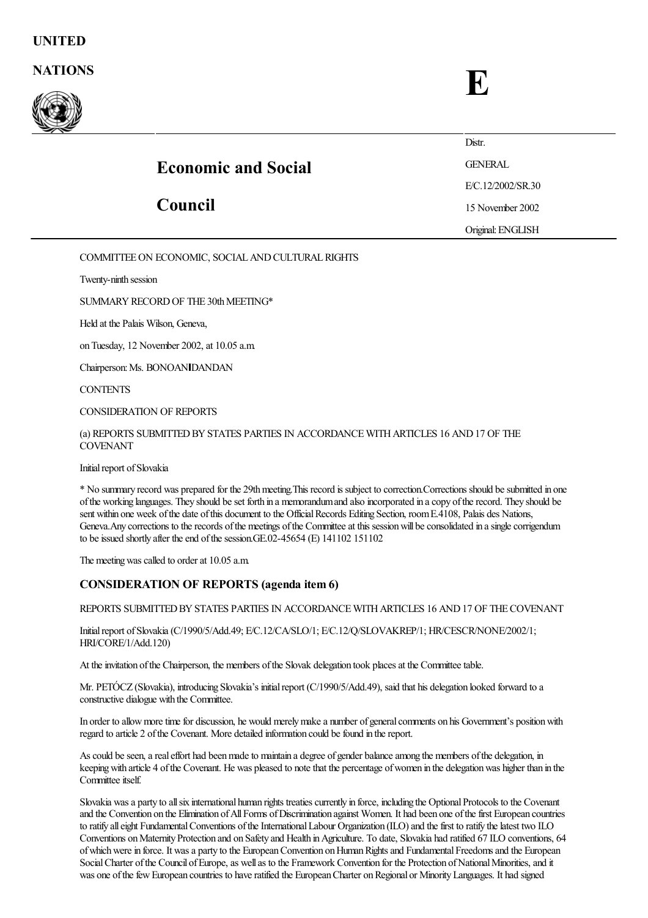## NATIONS FOR THE SERVICE SERVICE SERVICE SERVICE SERVICE SERVICE SERVICE SERVICE SERVICE SERVICE SERVICE SERVICE SERVICE SERVICE SERVICE SERVICE SERVICE SERVICE SERVICE SERVICE SERVICE SERVICE SERVICE SERVICE SERVICE SERVIC



|                            | Distr.            |
|----------------------------|-------------------|
| <b>Economic and Social</b> | <b>GENERAL</b>    |
|                            | E/C.12/2002/SR.30 |
| Council                    | 15 November 2002  |
|                            | Original: ENGLISH |

COMMITTEE ON ECONOMIC, SOCIAL AND CULTURAL RIGHTS

Twenty-ninth session

SUMMARY RECORD OF THE 30th MEETING\*

Held at the Palais Wilson, Geneva,

on Tuesday, 12 November 2002, at 10.05 a.m.

Chairperson: Ms. BONOAN DANDAN

**CONTENTS** 

CONSIDERATION OF REPORTS

(a) REPORTS SUBMITTED BY STATES PARTIES IN ACCORDANCE WITH ARTICLES 16 AND 17 OF THE COVENANT

Initial report of Slovakia

\* No summary record was prepared for the 29thmeeting.This record is subject to correction.Corrections should besubmitted in one ofthe working languages. They should beset forth in a memorandumand also incorporated in acopy oftherecord. They should be sent within one week of the date of this document to the Official Records Editing Section, room E.4108, Palais des Nations, Geneva. Any corrections to the records of the meetings of the Committee at this session will be consolidated in a single corrigendum to be issued shortly after the end of the session.GE.02-45654 (E)  $141102 151102$ 

The meeting was called to order at 10.05 a.m.

## CONSIDERATION OF REPORTS (agenda item 6)

REPORTS SUBMITTED BY STATES PARTIES IN ACCORDANCE WITH ARTICLES 16 AND 17 OF THE COVENANT

Initial report of Slovakia (C/1990/5/Add.49; E/C.12/CA/SLO/1; E/C.12/O/SLOVAKREP/1; HR/CESCR/NONE/2002/1; HRI/CORE/1/Add.120)

At the invitation of the Chairperson, the members of the Slovak delegation took places at the Committee table.

Mr. PETÓCZ (Slovakia), introducing Slovakia's initial report (C/1990/5/Add.49), said that his delegation looked forward to a constructive dialogue with the Committee.

In order to allow more time for discussion, he would merely make a number of general comments on his Government's position with regard to article 2 of the Covenant. More detailed information could be found in the report.

As could be seen, a real effort had been made to maintain a degree of gender balance among the members of the delegation, in keepingwith article 4 ofthe Covenant. He was pleased to notethat the percentage ofwomen in the delegationwas higher than in the Committee itself.

Slovakia was a party to all six international human rights treaties currently in force, including the Optional Protocols to the Covenant and the Convention on the Elimination ofAllForms ofDiscrimination against Women. It had been one ofthefirst European countries to ratify all eight Fundamental Conventions of the International Labour Organization (ILO) and the first to ratify the latest two ILO Conventions on Maternity Protection and on Safety and Health in Agriculture. To date, Slovakia had ratified 67 ILO conventions, 64 of which were in force. It was a party to the European Convention on Human Rights and Fundamental Freedoms and the European Social Charter of the Council of Europe, as well as to the Framework Convention for the Protection of National Minorities, and it was one of the few European countries to have ratified the European Charter on Regional or Minority Languages. It had signed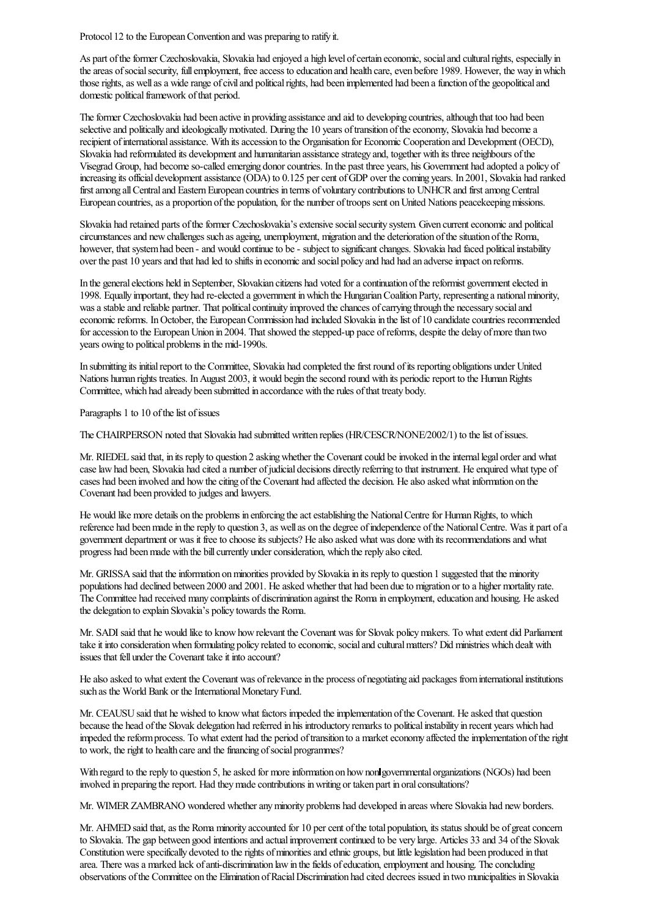Protocol 12 to the European Convention and was preparing to ratify it.

As part of the former Czechoslovakia, Slovakia had enjoyed a high level of certain economic, social and cultural rights, especially in the areas of social security, full employment, free access to education and health care, even before 1989. However, the way in which those rights, as well as a wide range of civil and political rights, had been implemented had been a function of the geopolitical and domestic political framework of that period.

The former Czechoslovakia had been active in providing assistance and aid to developing countries, although that too had been selective and politically and ideologically motivated. During the 10 years of transition of the economy, Slovakia had become a recipient of international assistance. With its accession to the Organisation for Economic Cooperation and Development (OECD), Slovakia had reformulated its development and humanitarian assistance strategy and, together with its three neighbours of the Visegrad Group, had becomeso-called emerging donorcountries. In the past three years, his Government had adopted a policy of increasing its official development assistance (ODA) to 0.125 per cent of GDP over the coming years. In 2001, Slovakia had ranked first among all Central and Eastern European countries in terms of voluntary contributions to UNHCR and first among Central European countries, as a proportion of the population, for the number of troops sent on United Nations peacekeeping missions.

Slovakia had retained parts of the former Czechoslovakia's extensive social security system. Given current economic and political circumstances and new challenges such as ageing, unemployment, migration and the deterioration of the situation of the Roma, however, that system had been - and would continue to be - subject to significant changes. Slovakia had faced political instability over the past 10 years and that had led to shifts in economic and social policy and had had an adverse impact on reforms.

In the general elections held in September, Slovakian citizens had voted for a continuation of the reformist government elected in 1998. Equally important, they had re-elected a government inwhich the HungarianCoalition Party, representing a nationalminority, was a stable and reliable partner. That political continuity improved the chances of carrying through the necessary social and economic reforms. In October, the European Commission had included Slovakia in the list of 10 candidate countries recommended for accession to the European Union in 2004. That showed the stepped-up pace of reforms, despite the delay of more than two years owing to political problems in the mid-1990s.

In submitting its initial report to the Committee, Slovakia had completed the first round of its reporting obligations under United Nations human rights treaties. In August 2003, it would begin the second round with its periodic report to the Human Rights Committee, which had already been submitted in accordance with the rules of that treaty body.

Paragraphs 1 to 10 of the list of issues

The CHAIRPERSON noted that Slovakia had submitted written replies (HR/CESCR/NONE/2002/1) to thelist ofissues.

Mr. RIEDEL said that, in its reply to question 2 asking whether the Covenant could be invoked in the internal legal order and what caselawhad been, Slovakia had cited a number ofjudicial decisions directly referring to that instrument. Heenquired what type of cases had been involved and howtheciting ofthe Covenant had affected the decision. Healso asked what information on the Covenant had been provided to judges and lawyers.

He would like more details on the problems in enforcing the act establishing the National Centre for Human Rights, to which reference had been made in the reply to question 3, as well as on the degree of independence of the National Centre. Was it part of a government department or was it freeto chooseits subjects? Healso asked what was done with its recommendationsand what progress had been made with the bill currently under consideration, which the reply also cited.

Mr. GRISSA said that the information on minorities provided by Slovakia in its reply to question 1 suggested that the minority populations had declined between 2000 and 2001. Heasked whether that had been dueto migration or to a higher mortality rate. The Committee had received many complaints of discrimination against the Romain employment,education and housing. Heasked the delegation to explain Slovakia's policy towards the Roma.

Mr. SADI said that he would like to know how relevant the Covenant was for Slovak policy makers. To what extent did Parliament take it into consideration when formulating policy related to economic, social and cultural matters? Did ministries which dealt with issues that fell under the Covenant take it into account?

He also asked to what extent the Covenant was of relevance in the process of negotiating aid packages from international institutions such as the World Bank or the International Monetary Fund.

Mr. CEAUSU said that he wished to know what factors impeded the implementation of the Covenant. He asked that question because the head of the Slovak delegation had referred in his introductory remarks to political instability in recent years which had impeded the reform process. To what extent had the period of transition to a market economy affected the implementation of the right to work, the right to health care and the financing of social programmes?

With regard to the reply to question 5, he asked for more information on how nonlgovernmental organizations (NGOs) had been involved in preparing the report. Had they made contributions in writing or taken part in oral consultations?

Mr. WIMER ZAMBRANO wondered whether any minority problems had developed in areas where Slovakia had new borders.

Mr. AHMED said that, as the Roma minority accounted for 10 per cent of the total population, its status should be of great concern to Slovakia. The gap between good intentions and actual improvement continued to be very large. Articles 33 and 34 of the Slovak Constitution were specifically devoted to the rights of minorities and ethnic groups, but little legislation had been produced in that area. There was a marked lack of anti-discrimination law in the fields of education, employment and housing. The concluding observations ofthe Committee on the Elimination ofRacialDiscrimination had cited decrees issued in two municipalities in Slovakia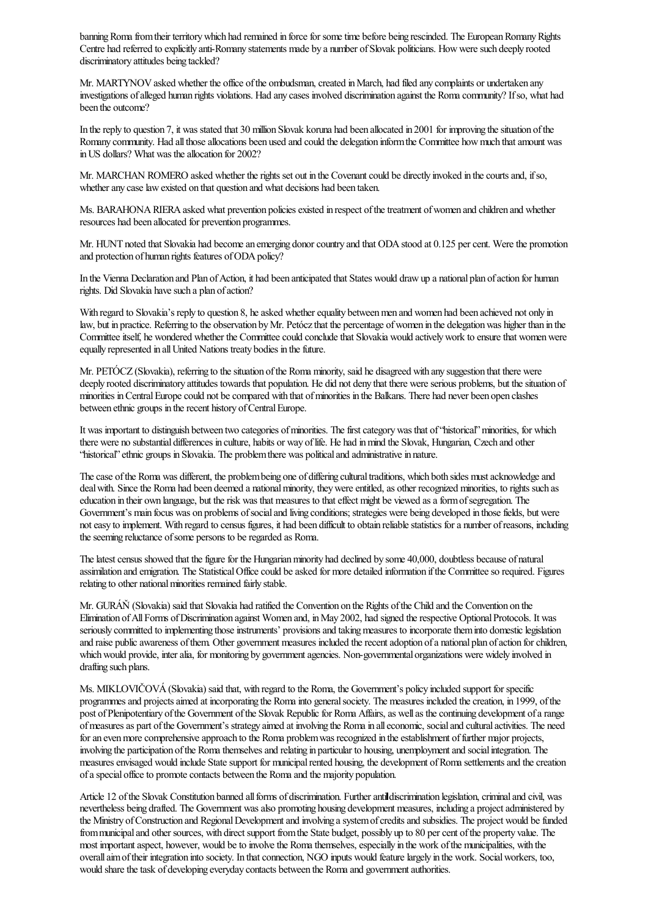banning Roma from their territory which had remained in force for some time before being rescinded. The European Romany Rights Centre had referred to explicitly anti-Romany statements made by a number ofSlovak politicians. Howweresuch deeply rooted discriminatory attitudes being tackled?

Mr. MARTYNOV asked whether the office of the ombudsman, created in March, had filed any complaints or undertaken any investigations ofalleged human rights violations. Had any cases involved discrimination against the Romacommunity?Ifso, what had been the outcome?

In the reply to question 7, it was stated that 30 million Slovak koruna had been allocated in 2001 for improving the situation of the Romany community. Had all those allocations been used and could the delegation inform the Committee how much that amount was in US dollars? What was the allocation for 2002?

Mr. MARCHAN ROMERO asked whether the rights set out in the Covenant could be directly invoked in the courts and, if so, whether any case law existed on that question and what decisions had been taken.

Ms. BARAHONA RIERA asked what prevention policies existed in respect of the treatment of women and children and whether resources had been allocated for prevention programmes.

Mr. HUNT noted that Slovakia had become an emerging donor country and that ODA stood at 0.125 per cent. Were the promotion and protection of human rights features of ODA policy?

In the Vienna Declaration and Plan of Action, it had been anticipated that States would draw up a national plan of action for human rights. Did Slovakia have such a plan of action?

With regard to Slovakia's reply to question 8, he asked whether equality between men and women had been achieved not only in law, but in practice. Referring to the observation byMr. Petóczthat the percentage ofwomen in the delegationwas higher than in the Committee itself, he wondered whether the Committee could conclude that Slovakia would actively work to ensure that women were equally represented in all United Nations treaty bodies in the future.

Mr. PETÓCZ (Slovakia), referring to the situation of the Roma minority, said he disagreed with any suggestion that there were deeply rooted discriminatory attitudes towards that population. He did not deny that there were serious problems, but the situation of minorities in Central Europe could not be compared with that of minorities in the Balkans. There had never been open clashes between ethnic groups in the recent history of Central Europe.

It was important to distinguish between two categories of minorities. The first category was that of 'historical' minorities, for which there were no substantial differences in culture, habits or way oflife. He had inmind the Slovak, Hungarian, Czech and other "historical" ethnic groups in Slovakia. The problem there was political and administrative in nature.

The case of the Roma was different, the problem being one of differing cultural traditions, which both sides must acknowledge and deal with. Since the Roma had been deemed a national minority, they were entitled, as other recognized minorities, to rights such as education in their own language, but the risk was that measures to that effect might be viewed as a form of segregation. The Government's main focus was on problems of social and living conditions; strategies were being developed in those fields, but were not easy to implement. With regard to census figures, it had been difficult to obtain reliable statistics for a number of reasons, including the seeming reluctance of some persons to be regarded as Roma.

The latest census showed that the figure for the Hungarian minority had declined by some 40,000, doubtless because of natural assimilation and emigration. The Statistical Office could be asked for more detailed information if the Committee so required. Figures relating to other national minorities remained fairly stable.

Mr. GURÁŇ (Slovakia) said that Slovakia had ratified the Convention on the Rights ofthe Child and the Convention on the Elimination of All Forms of Discrimination against Women and, in May 2002, had signed the respective Optional Protocols. It was seriously committed to implementing those instruments' provisions and taking measures to incorporate them into domestic legislation and raise public awareness of them. Other government measures included the recent adoption of a national plan of action for children, which would provide, inter alia, for monitoring by government agencies. Non-governmental organizations were widely involved in drafting such plans.

Ms. MIKLOVIČOVÁ(Slovakia) said that, with regard to the Roma, the Government's policy included support for specific programmes and projects aimed at incorporating the Roma into general society. The measures included the creation, in 1999, of the post of Plenipotentiary of the Government of the Slovak Republic for Roma Affairs, as well as the continuing development of a range ofmeasuresas part ofthe Government's strategy aimed at involving the Romain alleconomic, socialand culturalactivities. The need for an even more comprehensive approach to the Roma problem was recognized in the establishment of further major projects, involving the participation ofthe Romathemselvesand relating in particular to housing, unemploymentand socialintegration. The measures envisaged would include State support for municipal rented housing, the development of Roma settlements and the creation of a special office to promote contacts between the Roma and the majority population.

Article 12 of the Slovak Constitution banned all forms of discrimination. Further antill discrimination legislation, criminal and civil, was nevertheless being drafted. The Government wasalso promoting housing developmentmeasures, including a projectadministered by the Ministry of Construction and Regional Development and involving a system of credits and subsidies. The project would be funded from municipal and other sources, with direct support from the State budget, possibly up to 80 per cent of the property value. The most important aspect, however, would be to involve the Roma themselves, especially in the work of the municipalities, with the overall aim of their integration into society. In that connection, NGO inputs would feature largely in the work. Social workers, too, would share the task of developing everyday contacts between the Roma and government authorities.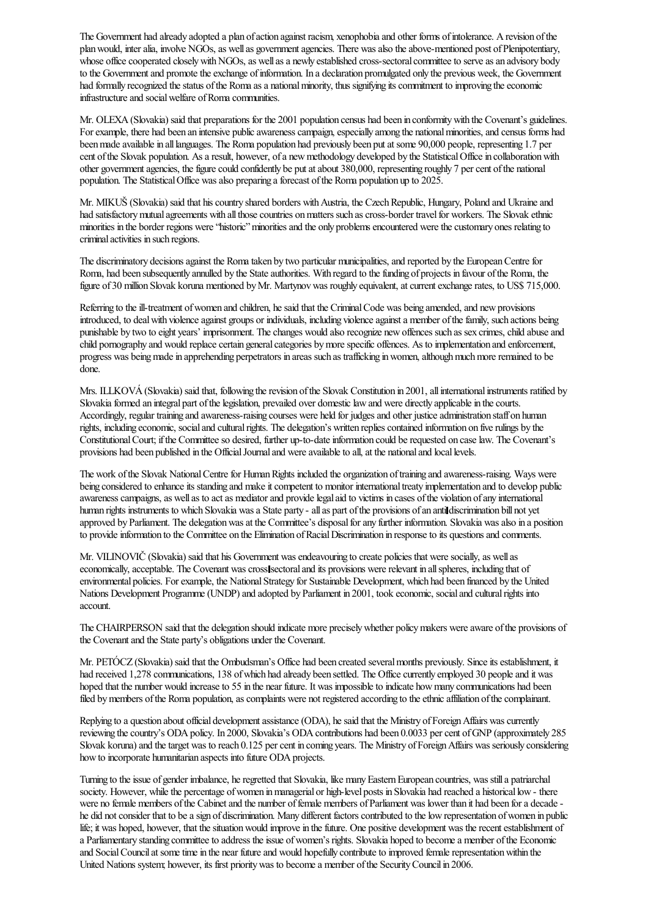The Government had already adopted a plan of action against racism, xenophobia and other forms of intolerance. A revision of the plan would, inter alia, involve NGOs, as well as government agencies. There was also the above-mentioned post of Plenipotentiary, whose office cooperated closely with NGOs, as well as a newly established cross-sectoral committee to serve as an advisory body to the Government and promote the exchange of information. In a declaration promulgated only the previous week, the Government had formally recognized the status of the Roma as a national minority, thus signifying its commitment to improving the economic infrastructure and social welfare of Roma communities.

Mr. OLEXA(Slovakia) said that preparations for the 2001 population census had been in conformitywith the Covenant's guidelines. For example, there had been an intensive public awareness campaign, especially among the national minorities, and census forms had been made available in all languages. The Roma population had previously been put at some 90,000 people, representing 1.7 per cent of the Slovak population. As a result, however, of a new methodology developed by the Statistical Office in collaboration with other government agencies, the figure could confidently be put at about 380,000, representing roughly 7 per cent of the national population. The StatisticalOffice wasalso preparing aforecast ofthe Roma population up to 2025.

Mr. MIKUŠ (Slovakia) said that his country shared borders with Austria, the Czech Republic, Hungary, Poland and Ukraine and had satisfactory mutual agreements with all those countries on matters such as cross-border travel for workers. The Slovak ethnic minorities in the border regions were "historic" minorities and the only problems encountered were the customary ones relating to criminalactivities in such regions.

The discriminatory decisions against the Roma taken by two particular municipalities, and reported by the European Centre for Roma, had been subsequently annulled by the State authorities. With regard to the funding of projects in favour of the Roma, the figure of 30 million Slovak koruna mentioned by Mr. Martynov was roughly equivalent, at current exchange rates, to US\$ 715,000.

Referring to the ill-treatment of women and children, he said that the Criminal Code was being amended, and new provisions introduced, to deal with violence against groups or individuals, including violence against a member of the family, such actions being punishable by two to eight years' imprisonment. The changes would also recognize new offences such as sex crimes, child abuse and child pornography and would replace certain general categories by more specific offences. As to implementation and enforcement, progress was being made in apprehending perpetrators in areas such as trafficking in women, although much more remained to be done.

Mrs. ILLKOVÁ (Slovakia) said that, following the revision of the Slovak Constitution in 2001, all international instruments ratified by Slovakia formed an integral part of the legislation, prevailed over domestic law and were directly applicable in the courts. Accordingly, regular training and awareness-raising courses were held for judges and other justice administration staff on human rights, including economic, social and cultural rights. The delegation's written replies contained information on five rulings by the Constitutional Court; if the Committee so desired, further up-to-date information could be requested on case law. The Covenant's provisions had been published in the Official Journal and were available to all, at the national and local levels.

The work of the Slovak National Centre for Human Rights included the organization of training and awareness-raising. Ways were being considered to enhance its standing and make it competent to monitor international treaty implementation and to develop public awareness campaigns, as well as to act as mediator and provide legal aid to victims in cases of the violation of any international human rights instruments to which Slovakia was a State party - all as part of the provisions of an antildiscrimination bill not yet approved by Parliament. The delegation was at the Committee's disposal for any further information. Slovakia was also in a position to provide information to the Committee on the Elimination of Racial Discrimination in response to its questions and comments.

Mr. VILINOVIČ (Slovakia) said that his Government was endeavouring to create policies that were socially, as well as economically, acceptable. The Covenant was cross sectoral and its provisions were relevant in all spheres, including that of environmental policies. Forexample, the NationalStrategy for Sustainable Development, which had been financed by the United Nations Development Programme (UNDP) and adopted by Parliament in 2001, took economic, social and cultural rights into account.

The CHAIRPERSON said that the delegation should indicate more precisely whether policy makers were aware of the provisions of the Covenant and the State party's obligations under the Covenant.

Mr. PETÓCZ (Slovakia) said that the Ombudsman's Office had been created several months previously. Since its establishment, it had received 1,278 communications, 138 of which had already been settled. The Office currently employed 30 people and it was hoped that the number would increase to 55 in the near future. It was impossible to indicate how many communications had been filed by members of the Roma population, as complaints were not registered according to the ethnic affiliation of the complainant.

Replying to a question about official development assistance (ODA), he said that the Ministry of Foreign Affairs was currently reviewing the country's ODA policy. In 2000, Slovakia's ODA contributions had been 0.0033 per cent of GNP (approximately 285 Slovak koruna) and the target was to reach 0.125 per cent in coming years. The Ministry of Foreign Affairs was seriously considering how to incorporate humanitarian aspects into future ODA projects.

Turning to the issue of gender imbalance, he regretted that Slovakia, like many Eastern European countries, was still a patriarchal society. However, while the percentage of women in managerial or high-level posts in Slovakia had reached a historical low - there were no female members of the Cabinet and the number of female members of Parliament was lower than it had been for a decade he did not consider that to be a sign of discrimination. Many different factors contributed to the low representation of women in public life; it was hoped, however, that the situation would improve in the future. One positive development was the recent establishment of a Parliamentary standing committee to address the issue of women's rights. Slovakia hoped to become a member of the Economic and Social Council at some time in the near future and would hopefully contribute to improved female representation within the United Nations system; however, its first priority was to become a member of the Security Council in 2006.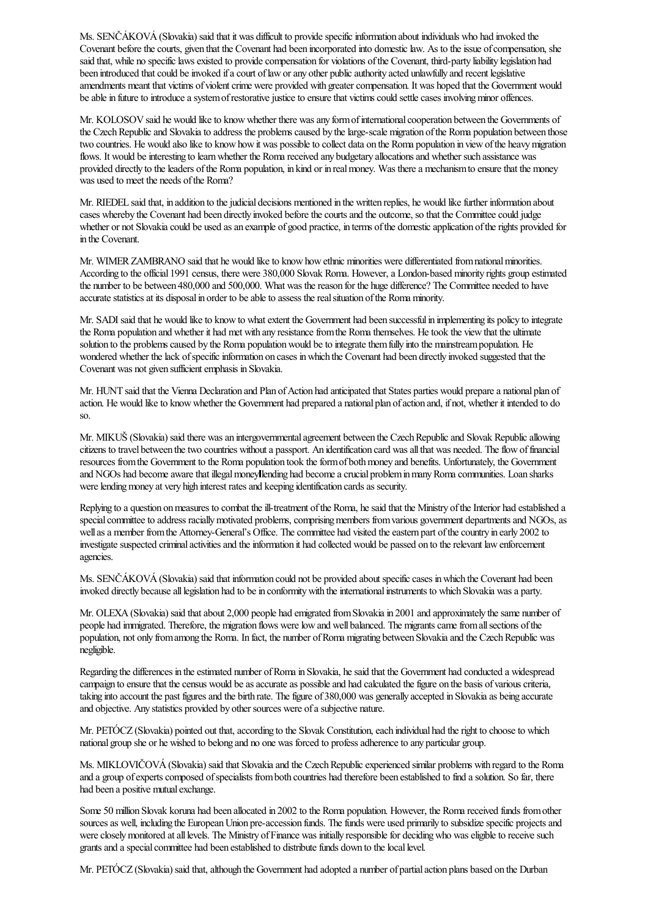Ms. SENČÁKOVÁ(Slovakia) said that it was difficult to providespecificinformation about individuals who had invoked the Covenant before the courts, given that the Covenant had been incorporated into domestic law. As to the issue of compensation, she said that, while no specific laws existed to provide compensation for violations of the Covenant, third-party liability legislation had been introduced that could be invoked if a court of law or any other public authority acted unlawfully and recent legislative amendments meant that victims of violent crime were provided with greater compensation. It was hoped that the Government would be able in future to introduce a system of restorative justice to ensure that victims could settle cases involving minor offences.

Mr. KOLOSOV said he would like to know whether there was any form of international cooperation between the Governments of the Czech Republic and Slovakia to address the problems caused by the large-scale migration of the Roma population between those two countries. He would also like to know how it was possible to collect data on the Roma population in view of the heavy migration flows. It would be interesting to learn whether the Roma received any budgetary allocations and whether such assistance was provided directly to the leaders of the Roma population, in kind or in real money. Was there a mechanism to ensure that the money was used to meet the needs of the Roma?

Mr. RIEDEL said that, in addition to the judicial decisions mentioned in the written replies, he would like further information about cases whereby the Covenant had been directly invoked before the courts and the outcome, so that the Committee could judge whether or not Slovakia could be used as an example of good practice, in terms of the domestic application of the rights provided for in the Covenant.

Mr. WIMER ZAMBRANO said that he would like to know how ethnic minorities were differentiated from national minorities. According to the official 1991 census, there were 380,000 Slovak Roma. However, a London-based minority rights group estimated the number to be between 480,000 and 500,000. What was the reason for the huge difference? The Committee needed to have accurate statistics at its disposal in order to be able to assess the real situation of the Roma minority.

Mr. SADI said that he would liketo knowto whatextent the Government had been successfulin implementing its policy to integrate the Roma population and whether it had met with any resistance from the Roma themselves. He took the view that the ultimate solution to the problems caused by the Roma population would be to integrate them fully into the mainstream population. He wondered whether the lack of specific information on cases in which the Covenant had been directly invoked suggested that the Covenant was not given sufficient emphasis in Slovakia.

Mr. HUNT said that the Vienna Declaration and Plan of Action had anticipated that States parties would prepare a national plan of action. He would like to know whether the Government had prepared a national plan of action and, if not, whether it intended to do so.

Mr. MIKUŠ (Slovakia) said there was an intergovernmental agreement between the Czech Republic and Slovak Republic allowing citizens to travel between the two countries without a passport. An identification card was all that was needed. The flow of financial resources from the Government to the Roma population took the form of both money and benefits. Unfortunately, the Government and NGOs had become aware that illegal moneyllending had become a crucial problem in many Roma communities. Loan sharks were lending money at very high interest rates and keeping identification cards as security.

Replying to a question on measures to combat the ill-treatment of the Roma, he said that the Ministry of the Interior had established a special committee to address racially motivated problems, comprising members from various government departments and NGOs, as well as a member from the Attorney-General's Office. The committee had visited the eastern part of the country in early 2002 to investigate suspected criminal activities and the information it had collected would be passed on to the relevant law enforcement agencies.

Ms. SENČÁKOVÁ (Slovakia) said that information could not be provided about specific cases in which the Covenant had been invoked directly because all legislation had to be in conformity with the international instruments to which Slovakia was a party.

Mr. OLEXA (Slovakia) said that about 2,000 people had emigrated from Slovakia in 2001 and approximately the same number of people had immigrated. Therefore, the migration flows were low and well balanced. The migrants came from all sections of the population, not only from among the Roma. In fact, the number of Roma migrating between Slovakia and the Czech Republic was negligible.

Regarding the differences in the estimated number of Roma in Slovakia, he said that the Government had conducted a widespread campaign to ensure that the census would be as accurate as possible and had calculated the figure on the basis of various criteria, taking into account the past figures and the birth rate. The figure of 380,000 was generally accepted in Slovakia as being accurate and objective. Any statistics provided by other sources were of a subjective nature.

Mr. PETÓCZ (Slovakia) pointed out that, according to the Slovak Constitution, each individual had the right to choose to which national group she or he wished to belong and no one was forced to professadherenceto any particular group.

Ms. MIKLOVIČOVÁ (Slovakia) said that Slovakia and the Czech Republic experienced similar problems with regard to the Roma and a group of experts composed of specialists from both countries had therefore been established to find a solution. So far, there had been a positive mutual exchange.

Some 50 million Slovak koruna had been allocated in 2002 to the Roma population. However, the Romareceived funds fromother sources as well, including the European Union pre-accession funds. The funds were used primarily to subsidize specific projects and were closely monitored at all levels. The Ministry of Finance was initially responsible for deciding who was eligible to receive such grants and a special committee had been established to distribute funds down to the local level.

Mr. PETÓCZ (Slovakia) said that, although the Government had adopted a number of partial action plans based on the Durban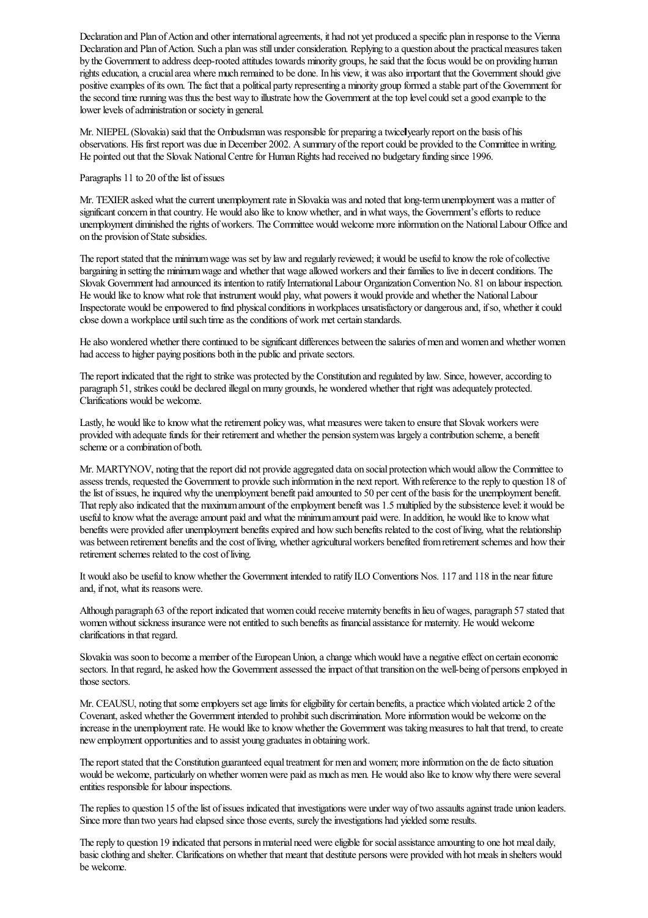Declaration and Plan of Action and other international agreements, it had not yet produced a specific plan in response to the Vienna Declaration and Plan of Action. Such a plan was still under consideration. Replying to a question about the practical measures taken by the Government to address deep-rooted attitudes towards minority groups, hesaid that thefocus would be on providing human rights education, a crucial area where much remained to be done. In his view, it was also important that the Government should give positive examples of its own. The fact that a political party representing a minority group formed a stable part of the Government for the second time running was thus the best way to illustrate how the Government at the top level could set a good example to the lower levels of administration or society in general.

Mr. NIEPEL (Slovakia) said that the Ombudsman was responsible for preparing a twice yearly report on the basis of his observations. His first report was due in December 2002. A summary of the report could be provided to the Committee in writing. He pointed out that the Slovak National Centre for Human Rights had received no budgetary funding since 1996.

## Paragraphs 11 to 20 of the list of issues

Mr. TEXIER asked what the current unemployment rate in Slovakia was and noted that long-term unemployment was a matter of significant concern in that country. He would also like to know whether, and in what ways, the Government's efforts to reduce unemployment diminished the rights of workers. The Committee would welcome more information on the National Labour Office and on the provision of State subsidies.

The report stated that the minimum wage was set by law and regularly reviewed; it would be useful to know the role of collective bargaining in setting the minimum wage and whether that wage allowed workers and their families to live in decent conditions. The Slovak Government had announced its intention to ratify International Labour Organization Convention No. 81 on labour inspection. He would like to know what role that instrument would play, what powers it would provide and whether the National Labour Inspectorate would be empowered to find physical conditions in workplaces unsatisfactory or dangerous and, if so, whether it could close down a workplace until such time as the conditions of work met certain standards.

He also wondered whether there continued to be significant differences between the salaries of men and women and whether women had access to higher paying positions both in the public and private sectors.

The report indicated that the right to strike was protected by the Constitution and regulated by law. Since, however, according to paragraph 51, strikes could be declared illegal on many grounds, he wondered whether that right was adequately protected. Clarifications would be welcome.

Lastly, he would like to know what the retirement policy was, what measures were taken to ensure that Slovak workers were provided with adequate funds for their retirement and whether the pension system was largely a contribution scheme, a benefit scheme or a combination of both.

Mr. MARTYNOV, noting that the report did not provide aggregated data on social protection which would allow the Committee to assess trends, requested the Government to provide such information in the next report. With reference to the reply to question 18 of the list of issues, he inquired why the unemployment benefit paid amounted to 50 per cent of the basis for the unemployment benefit. That reply also indicated that the maximum amount of the employment benefit was 1.5 multiplied by the subsistence level: it would be useful to know what the average amount paid and what the minimum amount paid were. In addition, he would like to know what benefits were provided after unemployment benefits expired and how such benefits related to the cost of living, what the relationship was between retirement benefits and the cost of living, whether agricultural workers benefited from retirement schemes and how their retirement schemes related to the cost of living.

It would also be usefulto knowwhether the Government intended to ratify ILO Conventions Nos. 117 and 118 in the near future and, if not, what its reasons were.

Although paragraph 63 of the report indicated that women could receive maternity benefits in lieu of wages, paragraph 57 stated that women without sickness insurance were not entitled to such benefits as financial assistance for maternity. He would welcome clarifications in that regard.

Slovakia was soon to become a member of the European Union, a change which would have a negative effect on certain economic sectors. In that regard, he asked how the Government assessed the impact of that transition on the well-being of persons employed in those sectors.

Mr. CEAUSU, noting that some employers set age limits for eligibility for certain benefits, a practice which violated article 2 of the Covenant, asked whether the Government intended to prohibit such discrimination. More information would be welcome on the increase in the unemployment rate. He would like to know whether the Government was taking measures to halt that trend, to create new employment opportunities and to assist young graduates in obtaining work.

The report stated that the Constitution guaranteed equal treatment for men and women; more information on the de facto situation would be welcome, particularly on whether women were paid as much as men. He would also like to know why there were several entities responsible for labour inspections.

The replies to question 15 of the list of issues indicated that investigations were under way of two assaults against trade union leaders. Since more than two years had elapsed since those events, surely the investigations had yielded some results.

The reply to question 19 indicated that persons in material need were eligible for social assistance amounting to one hot meal daily, basic clothing and shelter. Clarifications on whether that meant that destitute persons were provided with hot meals in shelters would be welcome.